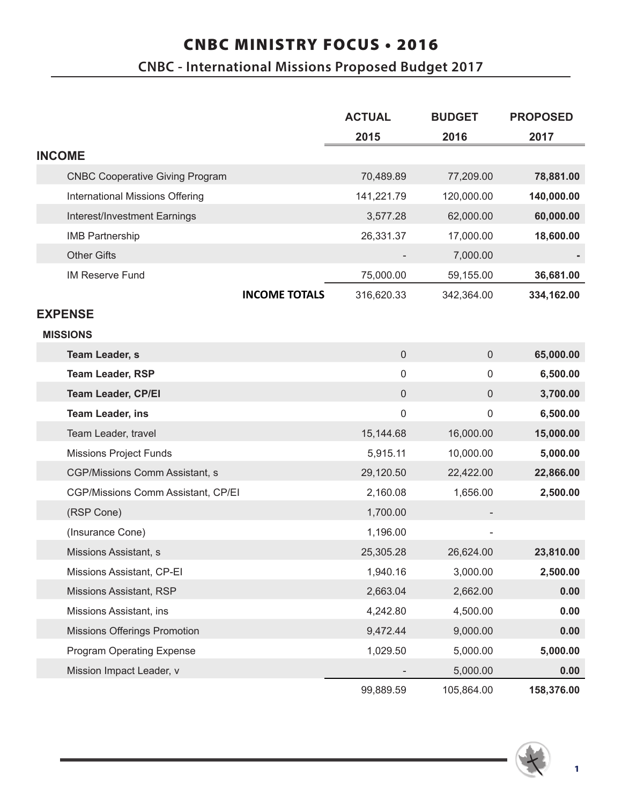## CNBC MINISTRY FOCUS • 2016

## **CNBC - International Missions Proposed Budget 2017**

|                                        | <b>ACTUAL</b>       | <b>BUDGET</b>       | <b>PROPOSED</b> |
|----------------------------------------|---------------------|---------------------|-----------------|
|                                        | 2015                | 2016                | 2017            |
| <b>INCOME</b>                          |                     |                     |                 |
| <b>CNBC Cooperative Giving Program</b> | 70,489.89           | 77,209.00           | 78,881.00       |
| International Missions Offering        | 141,221.79          | 120,000.00          | 140,000.00      |
| Interest/Investment Earnings           | 3,577.28            | 62,000.00           | 60,000.00       |
| <b>IMB Partnership</b>                 | 26,331.37           | 17,000.00           | 18,600.00       |
| <b>Other Gifts</b>                     |                     | 7,000.00            |                 |
| <b>IM Reserve Fund</b>                 | 75,000.00           | 59,155.00           | 36,681.00       |
| <b>INCOME TOTALS</b>                   | 316,620.33          | 342,364.00          | 334,162.00      |
| <b>EXPENSE</b>                         |                     |                     |                 |
| <b>MISSIONS</b>                        |                     |                     |                 |
| <b>Team Leader, s</b>                  | $\mathsf{O}\xspace$ | $\mathsf{O}\xspace$ | 65,000.00       |
| <b>Team Leader, RSP</b>                | $\mathsf 0$         | $\Omega$            | 6,500.00        |
| <b>Team Leader, CP/EI</b>              | $\pmb{0}$           | $\mathbf 0$         | 3,700.00        |
| <b>Team Leader, ins</b>                | $\mathsf 0$         | 0                   | 6,500.00        |
| Team Leader, travel                    | 15,144.68           | 16,000.00           | 15,000.00       |
| <b>Missions Project Funds</b>          | 5,915.11            | 10,000.00           | 5,000.00        |
| CGP/Missions Comm Assistant, s         | 29,120.50           | 22,422.00           | 22,866.00       |
| CGP/Missions Comm Assistant, CP/EI     | 2,160.08            | 1,656.00            | 2,500.00        |
| (RSP Cone)                             | 1,700.00            |                     |                 |
| (Insurance Cone)                       | 1,196.00            |                     |                 |
| Missions Assistant, s                  | 25,305.28           | 26,624.00           | 23,810.00       |
| Missions Assistant, CP-EI              | 1,940.16            | 3,000.00            | 2,500.00        |
| Missions Assistant, RSP                | 2,663.04            | 2,662.00            | 0.00            |
| Missions Assistant, ins                | 4,242.80            | 4,500.00            | 0.00            |
| <b>Missions Offerings Promotion</b>    | 9,472.44            | 9,000.00            | 0.00            |
| <b>Program Operating Expense</b>       | 1,029.50            | 5,000.00            | 5,000.00        |
| Mission Impact Leader, v               |                     | 5,000.00            | 0.00            |
|                                        | 99,889.59           | 105,864.00          | 158,376.00      |